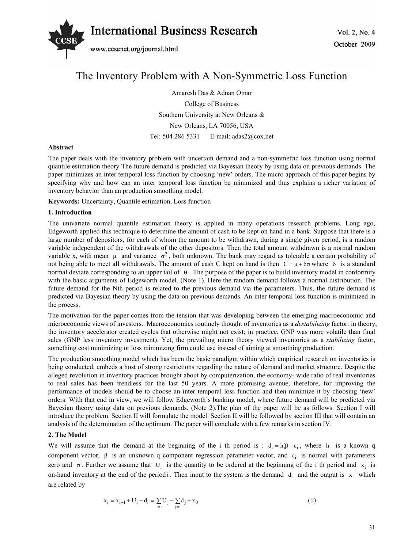

# The Inventory Problem with A Non-Symmetric Loss Function

Amaresh Das & Adnan Omar College of Business Southern University at New Orleans & New Orleans, LA 70056, USA Tel: 504 286 5331 E-mail: adas2@cox.net

# **Abstract**

The paper deals with the inventory problem with uncertain demand and a non-symmetric loss function using normal quantile estimation theory The future demand is predicted via Bayesian theory by using data on previous demands. The paper minimizes an inter temporal loss function by choosing 'new' orders. The micro approach of this paper begins by specifying why and how can an inter temporal loss function be minimized and thus explains a richer variation of inventory behavior than an production smoothing model.

**Keywords:** Uncertainty, Quantile estimation, Loss function

# **1. Introduction**

The univariate normal quantile estimation theory is applied in many operations research problems. Long ago, Edgeworth applied this technique to determine the amount of cash to be kept on hand in a bank. Suppose that there is a large number of depositors, for each of whom the amount to be withdrawn, during a single given period, is a random variable independent of the withdrawals of the other depositors. Then the total amount withdrawn is a normal random variable x, with mean  $\mu$  and variance  $\sigma^2$ , both unknown. The bank may regard as tolerable a certain probability of not being able to meet all withdrawals. The amount of cash C kept on hand is then  $C = \mu + \delta \sigma$  where  $\delta$  is a standard normal deviate corresponding to an upper tail of  $\theta$ . The purpose of the paper is to build inventory model in conformity with the basic arguments of Edgeworth model. (Note 1). Here the random demand follows a normal distribution. The future demand for the Nth period is related to the previous demand via the parameters. Thus, the future demand is predicted via Bayesian theory by using the data on previous demands. An inter temporal loss function is minimized in the process.

The motivation for the paper comes from the tension that was developing between the emerging macroeconomic and microeconomic views of investors.. Macroeconomics routinely thought of inventories as a *destabilizing* factor: in theory, the inventory accelerator created cycles that otherwise might not exist; in practice, GNP was more volatile than final sales (GNP less inventory investment). Yet, the prevailing micro theory viewed inventories as a *stabilizing* factor, something cost minimizing or loss minimizing firm could use instead of aiming at smoothing production.

The production smoothing model which has been the basic paradigm within which empirical research on inventories is being conducted, embeds a host of strong restrictions regarding the nature of demand and market structure. Despite the alleged revolution in inventory practices brought about by computerization, the economy- wide ratio of real inventories to real sales has been trendless for the last 50 years. A more promising avenue, therefore, for improving the performance of models should be to choose an inter temporal loss function and then minimize it by choosing 'new' orders. With that end in view, we will follow Edgeworth's banking model, where future demand will be predicted via Bayesian theory using data on previous demands. (Note 2).The plan of the paper will be as follows: Section I will introduce the problem. Section II will formulate the model. Section II will be followed by section III that will contain an analysis of the determination of the optimum. The paper will conclude with a few remarks in section IV.

# **2. The Model**

We will assume that the demand at the beginning of the i th period is :  $d_i = h'_i \beta + \varepsilon_i$ , where  $h_i$  is a known q component vector,  $\beta$  is an unknown q component regression parameter vector, and  $\varepsilon_i$  is normal with parameters zero and  $\sigma$ . Further we assume that U<sub>i</sub> is the quantity to be ordered at the beginning of the i th period and  $x_i$  is on-hand inventory at the end of the period i. Then input to the system is the demand  $d_i$  and the output is  $x_i$  which are related by

$$
x_{i} = x_{i-1} + U_{i} - d_{i} = \sum_{j=i} U_{j} - \sum_{j=i} d_{j} + x_{0}
$$
\n(1)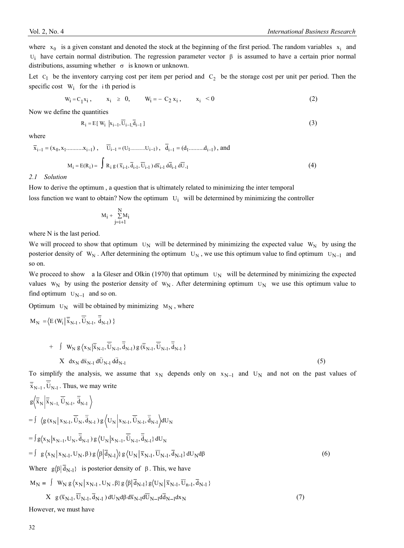where  $x_0$  is a given constant and denoted the stock at the beginning of the first period. The random variables  $x_i$  and  $U_i$  have certain normal distribution. The regression parameter vector  $\beta$  is assumed to have a certain prior normal distributions, assuming whether  $\sigma$  is known or unknown.

Let  $C_1$  be the inventory carrying cost per item per period and  $C_2$  be the storage cost per unit per period. Then the specific cost  $W_i$  for the ith period is

$$
W_i = C_1 x_i, \t x_i \geq 0, \t W_i = -C_2 x_i, \t x_i < 0 \t (2)
$$

Now we define the quantities

$$
R_i = E[W_i \mid x_{i-1}, \overline{U}_{i-1}, \overline{d}_{i-1}]
$$
\n(3)

where

$$
\overline{x}_{i-1} = (x_0, x_1 \dots \dots \dots x_{i-1}), \quad \overline{U}_{i-1} = (U_1 \dots \dots \dots U_{i-1}), \quad \overline{d}_{i-1} = (d_1 \dots \dots \dots d_{i-1}), \text{ and}
$$
\n
$$
M_i = E(R_i) = \int R_i g(\overline{x}_{i-1}, \overline{d}_{i-1}, \overline{U}_{i-1}) d\overline{x}_{i-1} d\overline{U}_{i-1}
$$
\n(4)

#### *2.1 Solution*

How to derive the optimum , a question that is ultimately related to minimizing the inter temporal loss function we want to obtain? Now the optimum  $U_i$  will be determined by minimizing the controller

$$
M_i+\sum_{j=i+1}^N\hspace{-0.5em}M_i
$$

where N is the last period.

We will proceed to show that optimum  $U_N$  will be determined by minimizing the expected value W<sub>N</sub> by using the posterior density of  $W_N$ . After determining the optimum  $U_N$ , we use this optimum value to find optimum  $U_{N-1}$  and so on.

We proceed to show a la Gleser and Olkin (1970) that optimum  $U_N$  will be determined by minimizing the expected values  $W_N$  by using the posterior density of  $W_N$ . After determining optimum  $U_N$  we use this optimum value to find optimum  $U_{N-1}$  and so on.

Optimum  $U_N$  will be obtained by minimizing  $M_N$ , where

$$
M_N = \left\langle E\left(W_i \middle| \overline{\ddot{x}}_{N-1}, \overline{\ddot{U}}_{N-1}, \overline{\ddot{d}}_{N-1}\right) \right\rangle
$$

+ 
$$
\int W_N g\langle x_N | \overline{\ddot{x}}_{N-1}, \overline{\ddot{U}}_{N-1}, \overline{\ddot{d}}_{N-1} \rangle g(\overline{\ddot{x}}_{N-1}, \overline{\ddot{U}}_{N-1}, \overline{\ddot{d}}_{N-1})
$$
  
\n $X dx_N d\ddot{x}_{N-1} d\ddot{U}_{N-1} d\ddot{d}_{N-1}$  (5)

To simplify the analysis, we assume that  $x_N$  depends only on  $x_{N-1}$  and  $U_N$  and not on the past values of  $\overline{\ddot{x}}_{N-1}$ ,  $\ddot{U}_{N-1}$ . Thus, we may write

$$
g\langle \overrightarrow{\mathbf{x}}_{N} | \overrightarrow{\mathbf{x}}_{N-1}, \overrightarrow{\mathbf{U}}_{N-1}, \overrightarrow{\mathbf{d}}_{N-1} \rangle
$$
\n
$$
= \int \langle g(\mathbf{x}_{N} | \mathbf{x}_{N-1}, \overrightarrow{\mathbf{U}}_{N}, \overrightarrow{\mathbf{d}}_{N-1}) g \langle \mathbf{U}_{N} | \mathbf{x}_{N-1}, \overrightarrow{\mathbf{U}}_{N-1}, \overrightarrow{\mathbf{d}}_{N-1} \rangle d\mathbf{U}_{N}
$$
\n
$$
= \int g\langle \mathbf{x}_{N} | \mathbf{x}_{N-1}, \mathbf{U}_{N}, \overrightarrow{\mathbf{d}}_{N-1} \rangle g \langle \mathbf{U}_{N} | \mathbf{x}_{N-1}, \overrightarrow{\mathbf{U}}_{N-1}, \overrightarrow{\mathbf{d}}_{N-1} \rangle d\mathbf{U}_{N}
$$
\n
$$
= \int g\langle \mathbf{x}_{N} | \mathbf{x}_{N-1}, \mathbf{U}_{N}, \beta \rangle g \langle \beta | \overrightarrow{\mathbf{d}}_{N-1} \rangle g \langle \mathbf{U}_{N} | \overrightarrow{\mathbf{x}}_{N-1}, \overrightarrow{\mathbf{U}}_{N-1}, \overrightarrow{\mathbf{d}}_{N-1} \rangle d\mathbf{U}_{N} d\beta
$$
\nWhere  $g\langle \beta | \overrightarrow{\mathbf{d}}_{N-1} \rangle$  is posterior density of  $\beta$ . This, we have\n
$$
\mathbf{M}_{N} = \int \mathbf{W}_{N} g \langle \mathbf{x}_{N} | \mathbf{x}_{N-1}, \mathbf{U}_{N}, \beta \rangle g \langle \beta | \overrightarrow{\mathbf{d}}_{N-1} \rangle g \langle \mathbf{U}_{N} | \overrightarrow{\mathbf{x}}_{N-1}, \overrightarrow{\mathbf{U}}_{n-1}, \overrightarrow{\mathbf{d}}_{N-1} \rangle
$$
\n
$$
X g(\overrightarrow{\mathbf{x}}_{N-1}, \overrightarrow{\mathbf{U}}_{N-1}, \overrightarrow{\mathbf{d}}_{N-1}) d\mathbf{U}_{N} d\beta d\overrightarrow{\mathbf{x}}_{N-1} d\overrightarrow{\mathbf{U}}_{N-1} d\overrightarrow{\mathbf{d}}_{N-1} d\mathbf{x}_{N}
$$
\n(7)

However, we must have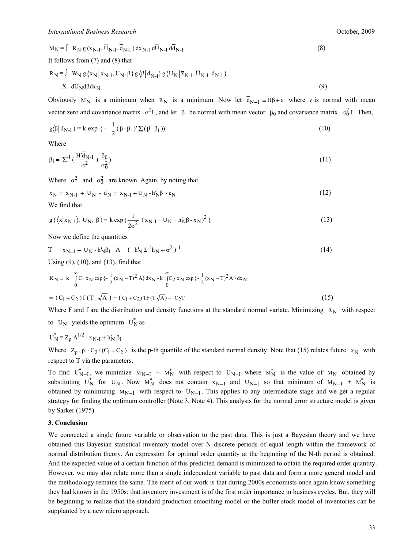$$
M_N = \int R_N g(\overline{x}_{N-1}, \overline{U}_{N-1}, \overline{d}_{N-1}) d\overline{x}_{N-1} d\overline{U}_{N-1} d\overline{d}_{N-1}
$$
  
\nIt follows from (7) and (8) that  
\n
$$
R_N = \int W_N g\langle x_N | x_{N-1}, U_N, \beta \rangle g\langle \beta | \overline{d}_{N-1} \rangle g\langle U_N | \overline{x}_{N-1}, \overline{U}_{N-1}, \overline{d}_{N-1} \rangle
$$
  
\n
$$
X dU_N d\beta dx_N
$$
\n(9)

Obviously  $M_N$  is a minimum when  $R_N$  is a minimum. Now let  $\overline{d}_{N-1} = H\beta + \varepsilon$  where  $\varepsilon$  is normal with mean vector zero and covariance matrix  $\sigma^2 I$ , and let  $\beta$  be normal with mean vector  $\beta_0$  and covariance matrix  $\sigma_0^2 I$ . Then,

$$
g\langle\beta|\overline{d}_{N-1}\rangle = k \exp\left\{-\frac{1}{2}(\beta - \beta_1)'\sum(\beta - \beta_1)\right\} \tag{10}
$$

Where

$$
\beta_1 = \sum^{-1} \left( \frac{H' \overline{d}_{N-1}}{\sigma^2} + \frac{\beta_0}{\sigma_0^2} \right) \tag{11}
$$

Where  $\sigma^2$  and  $\sigma_0^2$  are known. Again, by noting that

$$
x_N = x_{N-1} + U_N - d_N = x_{N-1} + U_N - h_N' \beta - \varepsilon_N
$$
\n(12)

We find that

$$
g\left\{\left\langle x|x_{N-1}\right\rangle, U_N, \beta\right\} = k \exp\left\{\frac{1}{2\sigma^2} \left(x_{N-1} + U_N - h'_N \beta - x_N\right)^2\right\} \tag{13}
$$

Now we define the quantities

$$
T = x_{N-1} + U_N - h'_N \beta_1 \quad A = (h'_N \Sigma^{-1} h_N + \sigma^2)^{-1}
$$
\n(14)

Using (9), (10), and (13). find that

$$
R_{N} = k \int_{0}^{\infty} C_{1} x_{N} \exp \{-\frac{1}{2} (x_{N} - T)^{2} A \} dx_{N} - k \int_{0}^{\infty} C_{2} x_{N} \exp \{-\frac{1}{2} (x_{N} - T)^{2} A \} dx_{N}
$$
  
=  $(C_{1} + C_{2}) f (T \sqrt{A}) + (C_{1} + C_{2}) T F (T \sqrt{A}) - C_{2} T$  (15)

Where F and f are the distribution and density functions at the standard normal variate. Minimizing  $R_N$  with respect

to  $U_N$  yields the optimum  $U_N^*$  as

$$
U_N^* = Z_p A^{1/2} - x_{N-I} + h'_N \beta_1
$$

Where  $Z_p$ , p - C<sub>2</sub>/(C<sub>1</sub>+C<sub>2</sub>) is the p-th quantile of the standard normal density. Note that (15) relates future  $x_N$  with respect to T via the parameters.

To find  $U_{N-I}^*$ , we minimize  $M_{N-I}$  +  $M_N^*$  with respect to  $U_{N-I}$  where  $M_N^*$  is the value of  $M_N$  obtained by substituting  $U_N^*$  for  $U_N$ . Now  $M_N^*$  does not contain  $x_{N-1}$  and  $U_{N-1}$  so that minimum of  $M_{N-1} + M_N^*$  is obtained by minimizing  $M_{N-I}$  with respect to  $U_{N-I}$ . This applies to any intermediate stage and we get a regular strategy for finding the optimum controller (Note 3, Note 4). This analysis for the normal error structure model is given by Sarker (1975).

## **3. Conclusion**

We connected a single future variable or observation to the past data. This is just a Bayesian theory and we have obtained this Bayesian statistical inventory model over N discrete periods of equal length within the framework of normal distribution theory. An expression for optimal order quantity at the beginning of the N-th period is obtained. And the expected value of a certain function of this predicted demand is minimized to obtain the required order quantity. However, we may also relate more than a single independent variable to past data and form a more general model and the methodology remains the same. The merit of our work is that during 2000s economists once again know something they had known in the 1950s: that inventory investment is of the first order importance in business cycles. But, they will be beginning to realize that the standard production smoothing model or the buffer stock model of inventories can be supplanted by a new micro approach.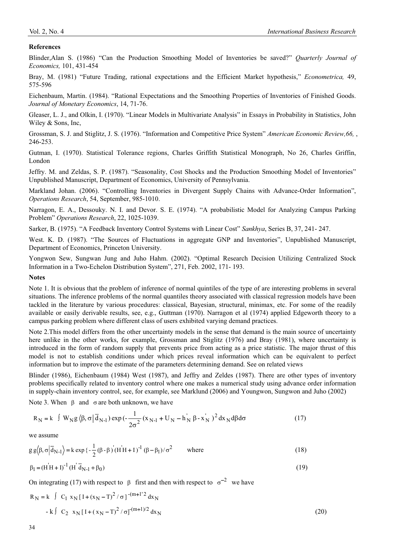# **References**

Blinder,Alan S. (1986) "Can the Production Smoothing Model of Inventories be saved?" *Quarterly Journal of Economics,* 101, 431-454

Bray, M. (1981) "Future Trading, rational expectations and the Efficient Market hypothesis," *Econometrica,* 49, 575-596

Eichenbaum, Martin. (1984). "Rational Expectations and the Smoothing Properties of Inventories of Finished Goods. *Journal of Monetary Economics*, 14, 71-76.

Gleaser, L. J., and Olkin, I. (1970). "Linear Models in Multivariate Analysis" in Essays in Probability in Statistics, John Wiley & Sons, Inc,

Grossman, S. J. and Stiglitz, J. S. (1976). "Information and Competitive Price System" *American Economic Review,66,* , 246-253.

Gutman, I. (1970). Statistical Tolerance regions, Charles Griffith Statistical Monograph, No 26, Charles Griffin, London

Jeffry. M. and Zeldas, S. P. (1987). "Seasonality, Cost Shocks and the Production Smoothing Model of Inventories" Unpublished Manuscript, Department of Economics, University of Pennsylvania.

Markland Johan. (2006). "Controlling Inventories in Divergent Supply Chains with Advance-Order Information", *Operations Research*, 54, September, 985-1010.

Narragon, E. A., Dessouky. N. I. and Devor. S. E. (1974). "A probabilistic Model for Analyzing Campus Parking Problem" *Operations Research*, 22, 1025-1039.

Sarker, B. (1975). "A Feedback Inventory Control Systems with Linear Cost" *Sankhya*, Series B, 37, 241- 247.

West. K. D. (1987). "The Sources of Fluctuations in aggregate GNP and Inventories", Unpublished Manuscript, Department of Economics, Princeton University.

Yongwon Sew, Sungwan Jung and Juho Hahm. (2002). "Optimal Research Decision Utilizing Centralized Stock Information in a Two-Echelon Distribution System", 271, Feb. 2002, 171- 193.

### **Notes**

Note 1. It is obvious that the problem of inference of normal quintiles of the type of are interesting problems in several situations. The inference problems of the normal quantiles theory associated with classical regression models have been tackled in the literature by various procedures: classical, Bayesian, structural, minimax, etc. For some of the readily available or easily derivable results, see, e.g., Guttman (1970). Narragon et al (1974) applied Edgeworth theory to a campus parking problem where different class of users exhibited varying demand practices.

Note 2.This model differs from the other uncertainty models in the sense that demand is the main source of uncertainty here unlike in the other works, for example, Grossman and Stiglitz (1976) and Bray (1981), where uncertainty is introduced in the form of random supply that prevents price from acting as a price statistic. The major thrust of this model is not to establish conditions under which prices reveal information which can be equivalent to perfect information but to improve the estimate of the parameters determining demand. See on related views

Blinder (1986), Eichenbaum (1984) West (1987), and Jeffry and Zeldes (1987). There are other types of inventory problems specifically related to inventory control where one makes a numerical study using advance order information in supply-chain inventory control, see, for example, see Marklund (2006) and Youngwon, Sungwon and Juho (2002)

Note 3. When  $\beta$  and  $\sigma$  are both unknown, we have

$$
R_N = k \int W_N g \langle \beta, \sigma | \overline{d}_{N-1} \rangle \exp\left(-\frac{1}{2\sigma^2} (x_{N-1} + U_N - h_N \beta - x_N) \right)^2 dx_N d\beta d\sigma \tag{17}
$$

we assume

$$
g g(\beta, \sigma | \overline{d}_{N-1}) = k \exp \left\{ -\frac{1}{2} (\beta - \beta) (H'H + I)^{-1} (\beta - \beta_1) / \sigma^2 \right\}
$$
 where (18)

$$
\beta_1 = (H'H + I)^{-1} (H' \overline{d}_{N-1} + \beta_0)
$$
\n(19)

On integrating (17) with respect to  $\beta$  first and then with respect to  $\sigma^{-2}$  we have

$$
R_N = k \int C_1 x_N [I + (x_N - T)^2 / \sigma]^{-(m+1)/2} dx_N
$$
  
- k  $\int C_2 x_N [I + (x_N - T)^2 / \sigma]^{-(m+1)/2} dx_N$  (20)